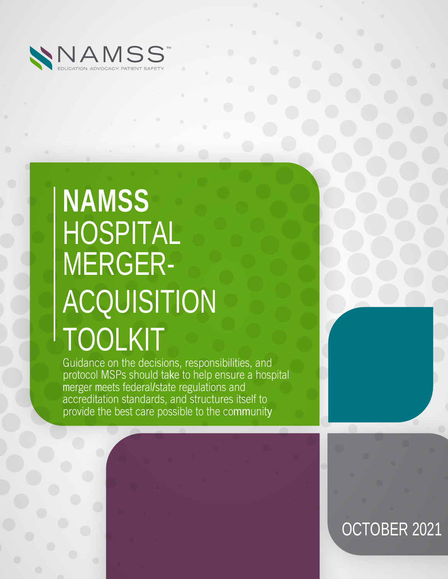

# **NAMSS** HOSPITAL MERGER-**ACQUISITION** TOOLKIT

Guidance on the decisions, responsibilities, and protocol MSPs should take to help ensure a hospital merger meets federal/state regulations and accreditation standards, and structures itself to provide the best care possible to the community

# OCTOBER 2021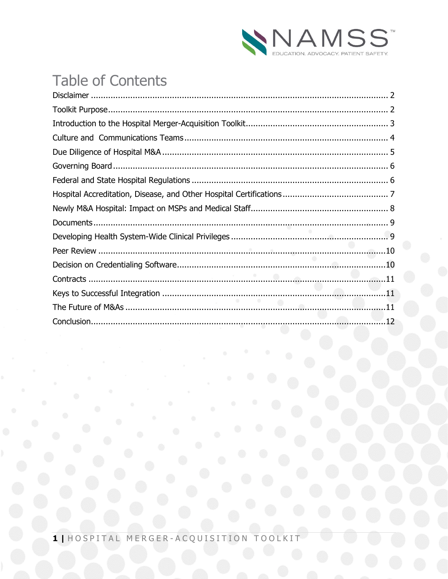

# **Table of Contents**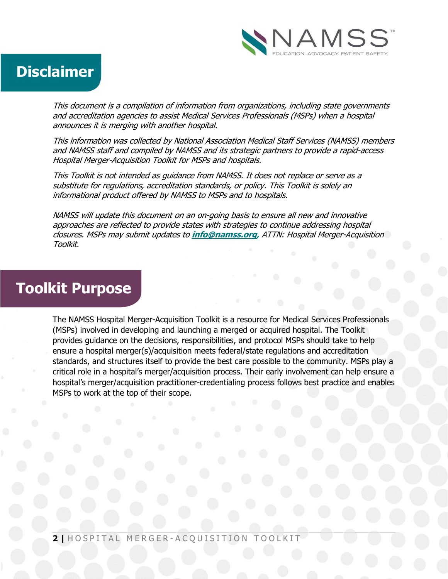

### **Disclaimer**

This document is a compilation of information from organizations, including state governments and accreditation agencies to assist Medical Services Professionals (MSPs) when a hospital announces it is merging with another hospital.

This information was collected by National Association Medical Staff Services (NAMSS) members and NAMSS staff and compiled by NAMSS and its strategic partners to provide a rapid-access Hospital Merger-Acquisition Toolkit for MSPs and hospitals.

This Toolkit is not intended as guidance from NAMSS. It does not replace or serve as a substitute for regulations, accreditation standards, or policy. This Toolkit is solely an informational product offered by NAMSS to MSPs and to hospitals.

NAMSS will update this document on an on-going basis to ensure all new and innovative approaches are reflected to provide states with strategies to continue addressing hospital closures. MSPs may submit updates to **info@namss.org,** ATTN: Hospital Merger-Acquisition Toolkit.

### **Toolkit Purpose**

The NAMSS Hospital Merger-Acquisition Toolkit is a resource for Medical Services Professionals (MSPs) involved in developing and launching a merged or acquired hospital. The Toolkit provides guidance on the decisions, responsibilities, and protocol MSPs should take to help ensure a hospital merger(s)/acquisition meets federal/state regulations and accreditation standards, and structures itself to provide the best care possible to the community. MSPs play a critical role in a hospital's merger/acquisition process. Their early involvement can help ensure a hospital's merger/acquisition practitioner-credentialing process follows best practice and enables MSPs to work at the top of their scope.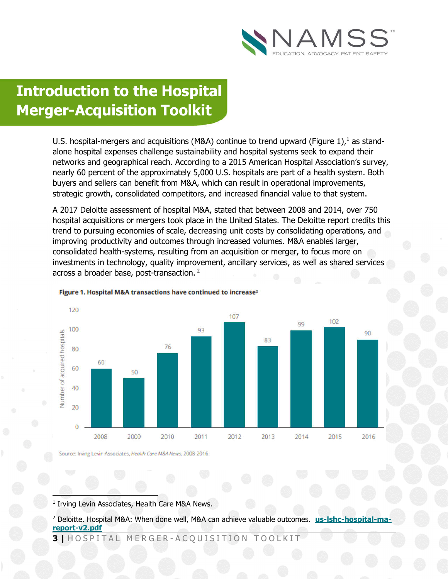

# **Introduction to the Hospital Merger-Acquisition Toolkit**

U.S. hospital-mergers and acquisitions (M&A) continue to trend upward (Figure 1),<sup>1</sup> as standalone hospital expenses challenge sustainability and hospital systems seek to expand their networks and geographical reach. According to a 2015 American Hospital Association's survey, nearly 60 percent of the approximately 5,000 U.S. hospitals are part of a health system. Both buyers and sellers can benefit from M&A, which can result in operational improvements, strategic growth, consolidated competitors, and increased financial value to that system.

A 2017 Deloitte assessment of hospital M&A, stated that between 2008 and 2014, over 750 hospital acquisitions or mergers took place in the United States. The Deloitte report credits this trend to pursuing economies of scale, decreasing unit costs by consolidating operations, and improving productivity and outcomes through increased volumes. M&A enables larger, consolidated health-systems, resulting from an acquisition or merger, to focus more on investments in technology, quality improvement, ancillary services, as well as shared services across a broader base, post-transaction. <sup>2</sup>



#### Figure 1. Hospital M&A transactions have continued to increase<sup>2</sup>

Source: Irving Levin Associates, Health Care M&A News, 2008-2016

<sup>1</sup> Irving Levin Associates, Health Care M&A News.

1

<sup>2</sup> Deloitte. Hospital M&A: When done well, M&A can achieve valuable outcomes. us-Ishc-hospital-ma **report-v2.pdf**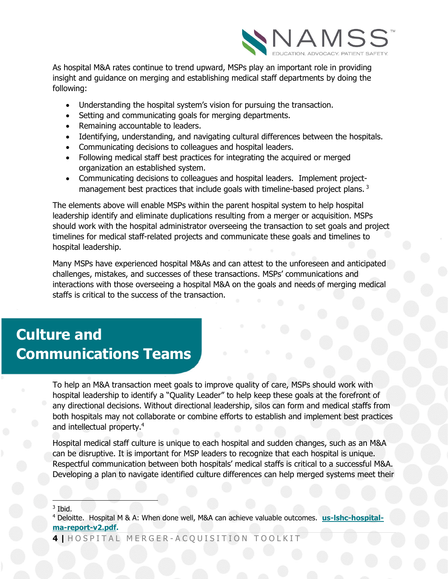

As hospital M&A rates continue to trend upward, MSPs play an important role in providing insight and guidance on merging and establishing medical staff departments by doing the following:

- Understanding the hospital system's vision for pursuing the transaction.
- Setting and communicating goals for merging departments.
- Remaining accountable to leaders.
- Identifying, understanding, and navigating cultural differences between the hospitals.
- Communicating decisions to colleagues and hospital leaders.
- Following medical staff best practices for integrating the acquired or merged organization an established system.
- Communicating decisions to colleagues and hospital leaders. Implement projectmanagement best practices that include goals with timeline-based project plans.<sup>3</sup>

The elements above will enable MSPs within the parent hospital system to help hospital leadership identify and eliminate duplications resulting from a merger or acquisition. MSPs should work with the hospital administrator overseeing the transaction to set goals and project timelines for medical staff-related projects and communicate these goals and timelines to hospital leadership.

Many MSPs have experienced hospital M&As and can attest to the unforeseen and anticipated challenges, mistakes, and successes of these transactions. MSPs' communications and interactions with those overseeing a hospital M&A on the goals and needs of merging medical staffs is critical to the success of the transaction.

### **Culture and Communications Teams**

To help an M&A transaction meet goals to improve quality of care, MSPs should work with hospital leadership to identify a "Quality Leader" to help keep these goals at the forefront of any directional decisions. Without directional leadership, silos can form and medical staffs from both hospitals may not collaborate or combine efforts to establish and implement best practices and intellectual property.4

Hospital medical staff culture is unique to each hospital and sudden changes, such as an M&A can be disruptive. It is important for MSP leaders to recognize that each hospital is unique. Respectful communication between both hospitals' medical staffs is critical to a successful M&A. Developing a plan to navigate identified culture differences can help merged systems meet their

<sup>3</sup> Ibid.

1

**4 |** H O S P I T A L M E R G E R - A C Q U I S I T I O N T O O L K I T

<sup>4</sup> Deloitte. Hospital M & A: When done well, M&A can achieve valuable outcomes. **us-lshc-hospitalma-report-v2.pdf.**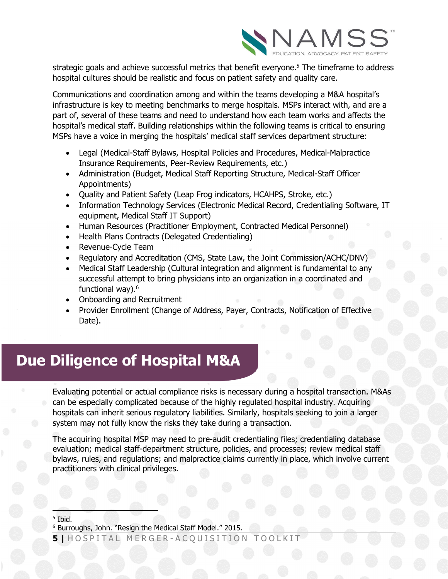

strategic goals and achieve successful metrics that benefit everyone. <sup>5</sup> The timeframe to address hospital cultures should be realistic and focus on patient safety and quality care.

Communications and coordination among and within the teams developing a M&A hospital's infrastructure is key to meeting benchmarks to merge hospitals. MSPs interact with, and are a part of, several of these teams and need to understand how each team works and affects the hospital's medical staff. Building relationships within the following teams is critical to ensuring MSPs have a voice in merging the hospitals' medical staff services department structure:

- Legal (Medical-Staff Bylaws, Hospital Policies and Procedures, Medical-Malpractice Insurance Requirements, Peer-Review Requirements, etc.)
- Administration (Budget, Medical Staff Reporting Structure, Medical-Staff Officer Appointments)
- Quality and Patient Safety (Leap Frog indicators, HCAHPS, Stroke, etc.)
- Information Technology Services (Electronic Medical Record, Credentialing Software, IT equipment, Medical Staff IT Support)
- Human Resources (Practitioner Employment, Contracted Medical Personnel)
- Health Plans Contracts (Delegated Credentialing)
- Revenue-Cycle Team
- Regulatory and Accreditation (CMS, State Law, the Joint Commission/ACHC/DNV)
- Medical Staff Leadership (Cultural integration and alignment is fundamental to any successful attempt to bring physicians into an organization in a coordinated and functional way).<sup>6</sup>
- Onboarding and Recruitment
- Provider Enrollment (Change of Address, Payer, Contracts, Notification of Effective Date).

### **Due Diligence of Hospital M&A**

Evaluating potential or actual compliance risks is necessary during a hospital transaction. M&As can be especially complicated because of the highly regulated hospital industry. Acquiring hospitals can inherit serious regulatory liabilities. Similarly, hospitals seeking to join a larger system may not fully know the risks they take during a transaction.

The acquiring hospital MSP may need to pre-audit credentialing files; credentialing database evaluation; medical staff-department structure, policies, and processes; review medical staff bylaws, rules, and regulations; and malpractice claims currently in place, which involve current practitioners with clinical privileges.

 $<sup>5</sup>$  Ibid.</sup>

1

<sup>6</sup> Burroughs, John. "Resign the Medical Staff Model." 2015.

**<sup>5</sup> |** H O S P I T A L M E R G E R - A C Q U I S I T I O N T O O L K I T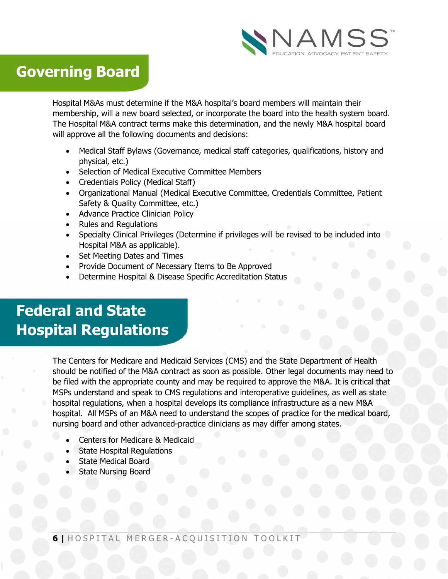

### **Governing Board**

Hospital M&As must determine if the M&A hospital's board members will maintain their membership, will a new board selected, or incorporate the board into the health system board. The Hospital M&A contract terms make this determination, and the newly M&A hospital board will approve all the following documents and decisions:

- Medical Staff Bylaws (Governance, medical staff categories, qualifications, history and physical, etc.)
- Selection of Medical Executive Committee Members
- Credentials Policy (Medical Staff)
- Organizational Manual (Medical Executive Committee, Credentials Committee, Patient Safety & Quality Committee, etc.)
- Advance Practice Clinician Policy
- Rules and Regulations
- Specialty Clinical Privileges (Determine if privileges will be revised to be included into Hospital M&A as applicable).
- Set Meeting Dates and Times
- Provide Document of Necessary Items to Be Approved
- Determine Hospital & Disease Specific Accreditation Status

# **Federal and State Hospital Regulations**

The Centers for Medicare and Medicaid Services (CMS) and the State Department of Health should be notified of the M&A contract as soon as possible. Other legal documents may need to be filed with the appropriate county and may be required to approve the M&A. It is critical that MSPs understand and speak to CMS regulations and interoperative guidelines, as well as state hospital regulations, when a hospital develops its compliance infrastructure as a new M&A hospital. All MSPs of an M&A need to understand the scopes of practice for the medical board, nursing board and other advanced-practice clinicians as may differ among states.

- Centers for Medicare & Medicaid
- State Hospital Regulations
- State Medical Board
- State Nursing Board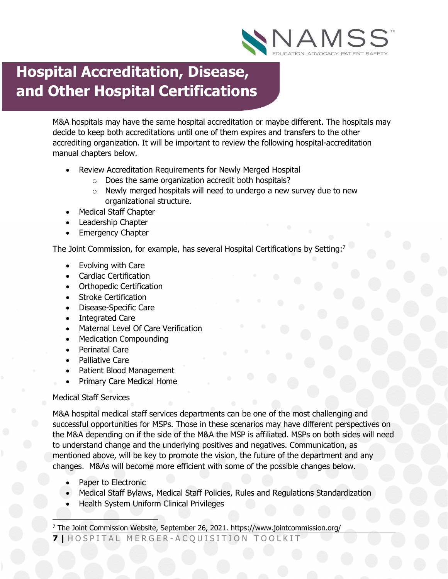

### **Hospital Accreditation, Disease, and Other Hospital Certifications**

M&A hospitals may have the same hospital accreditation or maybe different. The hospitals may decide to keep both accreditations until one of them expires and transfers to the other accrediting organization. It will be important to review the following hospital-accreditation manual chapters below.

- Review Accreditation Requirements for Newly Merged Hospital
	- o Does the same organization accredit both hospitals?
	- $\circ$  Newly merged hospitals will need to undergo a new survey due to new organizational structure.
- Medical Staff Chapter
- Leadership Chapter
- Emergency Chapter

The Joint Commission, for example, has several Hospital Certifications by Setting:<sup>7</sup>

- Evolving with Care
- Cardiac Certification
- Orthopedic Certification
- Stroke Certification
- Disease-Specific Care
- Integrated Care
- Maternal Level Of Care Verification
- Medication Compounding
- Perinatal Care
- Palliative Care
- Patient Blood Management
- Primary Care Medical Home

#### Medical Staff Services

M&A hospital medical staff services departments can be one of the most challenging and successful opportunities for MSPs. Those in these scenarios may have different perspectives on the M&A depending on if the side of the M&A the MSP is affiliated. MSPs on both sides will need to understand change and the underlying positives and negatives. Communication, as mentioned above, will be key to promote the vision, the future of the department and any changes. M&As will become more efficient with some of the possible changes below.

- Paper to Electronic
- Medical Staff Bylaws, Medical Staff Policies, Rules and Regulations Standardization
- Health System Uniform Clinical Privileges

**7 |** H O S P I T A L M E R G E R - A C Q U I S I T I O N T O O L K I T  $\overline{\phantom{a}}$ <sup>7</sup> The Joint Commission Website, September 26, 2021. https://www.jointcommission.org/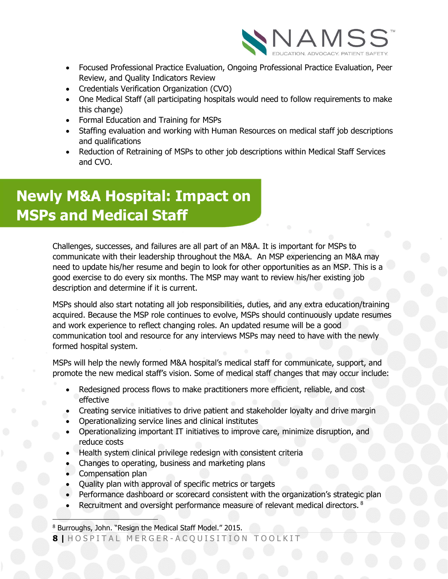

- Focused Professional Practice Evaluation, Ongoing Professional Practice Evaluation, Peer Review, and Quality Indicators Review
- Credentials Verification Organization (CVO)
- One Medical Staff (all participating hospitals would need to follow requirements to make this change)
- Formal Education and Training for MSPs
- Staffing evaluation and working with Human Resources on medical staff job descriptions and qualifications
- Reduction of Retraining of MSPs to other job descriptions within Medical Staff Services and CVO.

# **Newly M&A Hospital: Impact on MSPs and Medical Staff**

Challenges, successes, and failures are all part of an M&A. It is important for MSPs to communicate with their leadership throughout the M&A. An MSP experiencing an M&A may need to update his/her resume and begin to look for other opportunities as an MSP. This is a good exercise to do every six months. The MSP may want to review his/her existing job description and determine if it is current.

MSPs should also start notating all job responsibilities, duties, and any extra education/training acquired. Because the MSP role continues to evolve, MSPs should continuously update resumes and work experience to reflect changing roles. An updated resume will be a good communication tool and resource for any interviews MSPs may need to have with the newly formed hospital system.

MSPs will help the newly formed M&A hospital's medical staff for communicate, support, and promote the new medical staff's vision. Some of medical staff changes that may occur include:

- Redesigned process flows to make practitioners more efficient, reliable, and cost effective
- Creating service initiatives to drive patient and stakeholder loyalty and drive margin
- Operationalizing service lines and clinical institutes
- Operationalizing important IT initiatives to improve care, minimize disruption, and reduce costs
- Health system clinical privilege redesign with consistent criteria
- Changes to operating, business and marketing plans
- Compensation plan
- Quality plan with approval of specific metrics or targets
- Performance dashboard or scorecard consistent with the organization's strategic plan
- Recruitment and oversight performance measure of relevant medical directors. <sup>8</sup>

 $\overline{\phantom{a}}$ <sup>8</sup> Burroughs, John. "Resign the Medical Staff Model." 2015.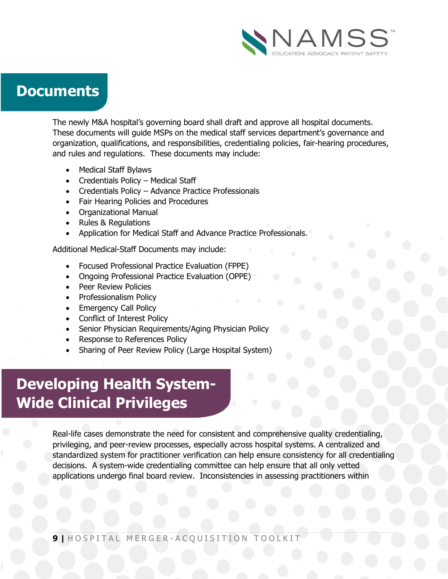

### **Documents**

The newly M&A hospital's governing board shall draft and approve all hospital documents. These documents will guide MSPs on the medical staff services department's governance and organization, qualifications, and responsibilities, credentialing policies, fair-hearing procedures, and rules and regulations. These documents may include:

- Medical Staff Bylaws
- Credentials Policy Medical Staff
- Credentials Policy Advance Practice Professionals
- Fair Hearing Policies and Procedures
- Organizational Manual
- Rules & Regulations
- Application for Medical Staff and Advance Practice Professionals.

Additional Medical-Staff Documents may include:

- Focused Professional Practice Evaluation (FPPE)
- Ongoing Professional Practice Evaluation (OPPE)
- Peer Review Policies
- Professionalism Policy
- Emergency Call Policy
- Conflict of Interest Policy
- Senior Physician Requirements/Aging Physician Policy
- Response to References Policy
- Sharing of Peer Review Policy (Large Hospital System)

# **Developing Health System-Wide Clinical Privileges**

Real-life cases demonstrate the need for consistent and comprehensive quality credentialing, privileging, and peer-review processes, especially across hospital systems. A centralized and standardized system for practitioner verification can help ensure consistency for all credentialing decisions. A system-wide credentialing committee can help ensure that all only vetted applications undergo final board review. Inconsistencies in assessing practitioners within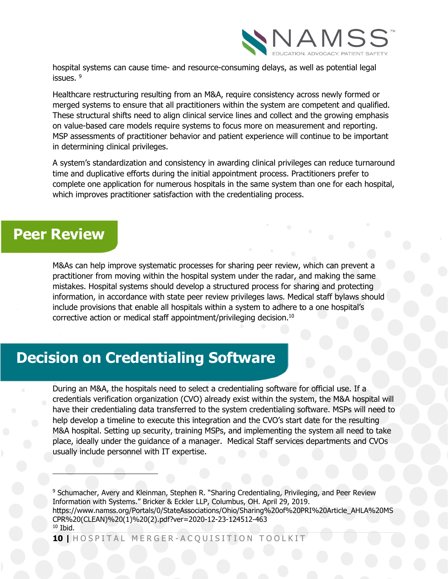

hospital systems can cause time- and resource-consuming delays, as well as potential legal issues.<sup>9</sup>

Healthcare restructuring resulting from an M&A, require consistency across newly formed or merged systems to ensure that all practitioners within the system are competent and qualified. These structural shifts need to align clinical service lines and collect and the growing emphasis on value-based care models require systems to focus more on measurement and reporting. MSP assessments of practitioner behavior and patient experience will continue to be important in determining clinical privileges.

A system's standardization and consistency in awarding clinical privileges can reduce turnaround time and duplicative efforts during the initial appointment process. Practitioners prefer to complete one application for numerous hospitals in the same system than one for each hospital, which improves practitioner satisfaction with the credentialing process.

### **Peer Review**

 $\overline{\phantom{a}}$ 

M&As can help improve systematic processes for sharing peer review, which can prevent a practitioner from moving within the hospital system under the radar, and making the same mistakes. Hospital systems should develop a structured process for sharing and protecting information, in accordance with state peer review privileges laws. Medical staff bylaws should include provisions that enable all hospitals within a system to adhere to a one hospital's corrective action or medical staff appointment/privileging decision.<sup>10</sup>

### **Decision on Credentialing Software**

During an M&A, the hospitals need to select a credentialing software for official use. If a credentials verification organization (CVO) already exist within the system, the M&A hospital will have their credentialing data transferred to the system credentialing software. MSPs will need to help develop a timeline to execute this integration and the CVO's start date for the resulting M&A hospital. Setting up security, training MSPs, and implementing the system all need to take place, ideally under the guidance of a manager. Medical Staff services departments and CVOs usually include personnel with IT expertise.

<sup>9</sup> Schumacher, Avery and Kleinman, Stephen R. "Sharing Credentialing, Privileging, and Peer Review Information with Systems." Bricker & Eckler LLP, Columbus, OH. April 29, 2019. https://www.namss.org/Portals/0/StateAssociations/Ohio/Sharing%20of%20PRI%20Article\_AHLA%20MS CPR%20(CLEAN)%20(1)%20(2).pdf?ver=2020-12-23-124512-463  $10$  Ibid.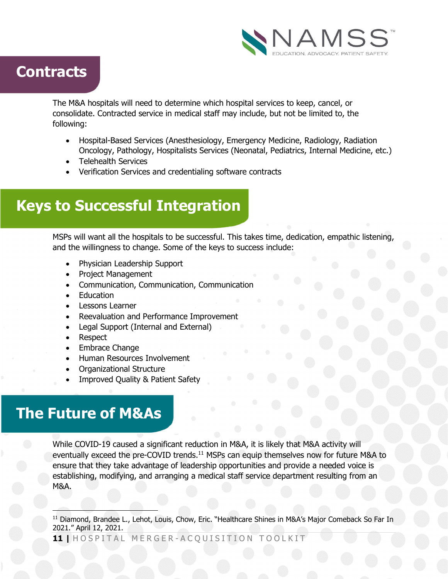

### **Contracts**

The M&A hospitals will need to determine which hospital services to keep, cancel, or consolidate. Contracted service in medical staff may include, but not be limited to, the following:

- Hospital-Based Services (Anesthesiology, Emergency Medicine, Radiology, Radiation Oncology, Pathology, Hospitalists Services (Neonatal, Pediatrics, Internal Medicine, etc.)
- Telehealth Services
- Verification Services and credentialing software contracts

### **Keys to Successful Integration**

MSPs will want all the hospitals to be successful. This takes time, dedication, empathic listening, and the willingness to change. Some of the keys to success include:

- Physician Leadership Support
- Project Management
- Communication, Communication, Communication
- **Education**
- Lessons Learner
- Reevaluation and Performance Improvement
- Legal Support (Internal and External)
- Respect
- Embrace Change
- Human Resources Involvement
- Organizational Structure
- Improved Quality & Patient Safety

### **The Future of M&As**

While COVID-19 caused a significant reduction in M&A, it is likely that M&A activity will eventually exceed the pre-COVID trends.<sup>11</sup> MSPs can equip themselves now for future M&A to ensure that they take advantage of leadership opportunities and provide a needed voice is establishing, modifying, and arranging a medical staff service department resulting from an M&A.

1 <sup>11</sup> Diamond, Brandee L., Lehot, Louis, Chow, Eric. "Healthcare Shines in M&A's Major Comeback So Far In 2021." April 12, 2021.